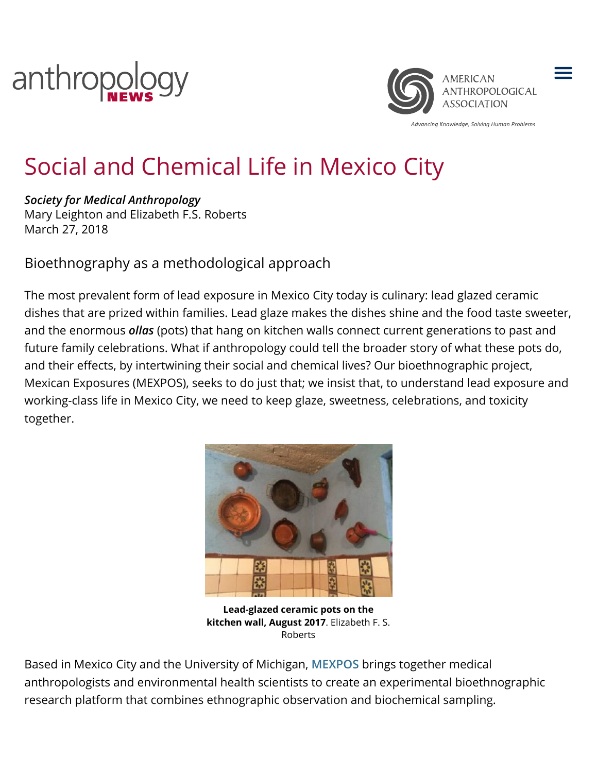



Advancing Knowledge, Solving Human Problems

 $\equiv$ 

# Social and Chemical Life in Mexico City

*Society for Medical Anthropology* Mary Leighton and Elizabeth F.S. Roberts March 27, 2018

Bioethnography as a methodological approach

The most prevalent form of lead exposure in Mexico City today is culinary: lead glazed ceramic dishes that are prized within families. Lead glaze makes the dishes shine and the food taste sweeter, and the enormous *ollas* (pots) that hang on kitchen walls connect current generations to past and future family celebrations. What if anthropology could tell the broader story of what these pots do, and their effects, by intertwining their social and chemical lives? Our bioethnographic project, Mexican Exposures (MEXPOS), seeks to do just that; we insist that, to understand lead exposure and working-class life in Mexico City, we need to keep glaze, sweetness, celebrations, and toxicity together.



**Lead-glazed ceramic pots on the kitchen wall, August 2017**. Elizabeth F. S. Roberts

Based in Mexico City and the University of Michigan, **[MEXPOS](https://sites.lsa.umich.edu/mexican-exposures/)** brings together medical anthropologists and environmental health scientists to create an experimental bioethnographic research platform that combines ethnographic observation and biochemical sampling.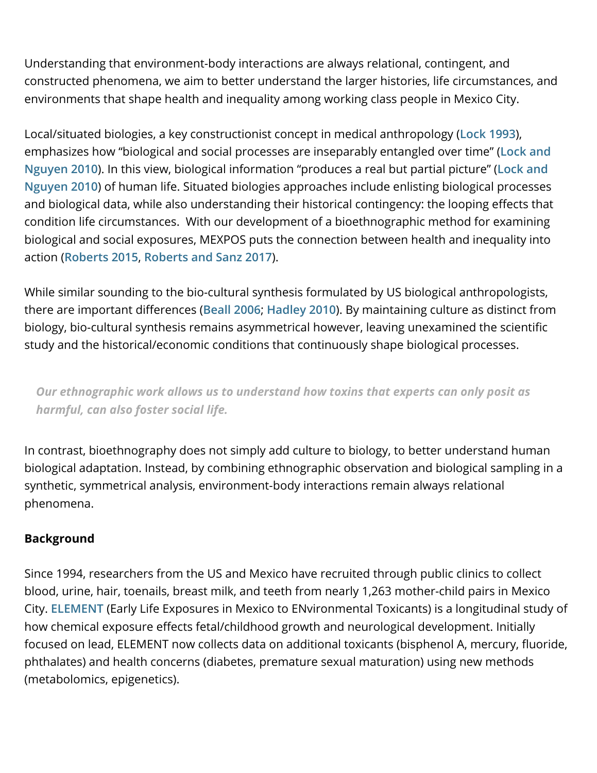Understanding that environment-body interactions are always relational, contingent, and constructed phenomena, we aim to better understand the larger histories, life circumstances, and environments that shape health and inequality among working class people in Mexico City.

Local/situated biologies, a key constructionist concept in medical anthropology (**[Lock 1993](http://www.annualreviews.org/doi/abs/10.1146/annurev.an.22.100193.001025)**), [emphasizes how "biological and social processes are inseparably entangled over time" \(](https://www.wiley.com/en-us/An+Anthropology+of+Biomedicine-p-9781444357905)**Lock and Nguyen 2010**). In this view, biological information "produces a real but partial picture" (**Lock and Nguyen 2010**[\) of human life. Situated biologies approaches include enlisting biological processes](https://www.wiley.com/en-us/An+Anthropology+of+Biomedicine-p-9781444357905) and biological data, while also understanding their historical contingency: the looping effects that condition life circumstances. With our development of a bioethnographic method for examining biological and social exposures, MEXPOS puts the connection between health and inequality into action (**[Roberts 2015](http://onlinelibrary.wiley.com/doi/10.14506/ca32.4.07/abstract)**, **[Roberts and Sanz 2017](https://link.springer.com/chapter/10.1057%2F978-1-137-52879-7_32)**).

While similar sounding to the bio-cultural synthesis formulated by US biological anthropologists, there are important differences ([Beall 2006](https://academic.oup.com/icb/article/46/1/18/661204); [Hadley 2010](http://onlinelibrary.wiley.com/doi/10.1002/ajhb.20959/full)). By maintaining culture as distinct from biology, bio-cultural synthesis remains asymmetrical however, leaving unexamined the scientific study and the historical/economic conditions that continuously shape biological processes.

*Our ethnographic work allows us to understand how toxins that experts can only posit as harmful, can also foster social life.*

In contrast, bioethnography does not simply add culture to biology, to better understand human biological adaptation. Instead, by combining ethnographic observation and biological sampling in a synthetic, symmetrical analysis, environment-body interactions remain always relational phenomena.

### **Background**

Since 1994, researchers from the US and Mexico have recruited through public clinics to collect blood, urine, hair, toenails, breast milk, and teeth from nearly 1,263 mother-child pairs in Mexico City. **[ELEMENT](https://sph.umich.edu/cehc/research/element.html)** (Early Life Exposures in Mexico to ENvironmental Toxicants) is a longitudinal study of how chemical exposure effects fetal/childhood growth and neurological development. Initially focused on lead, ELEMENT now collects data on additional toxicants (bisphenol A, mercury, fluoride, phthalates) and health concerns (diabetes, premature sexual maturation) using new methods (metabolomics, epigenetics).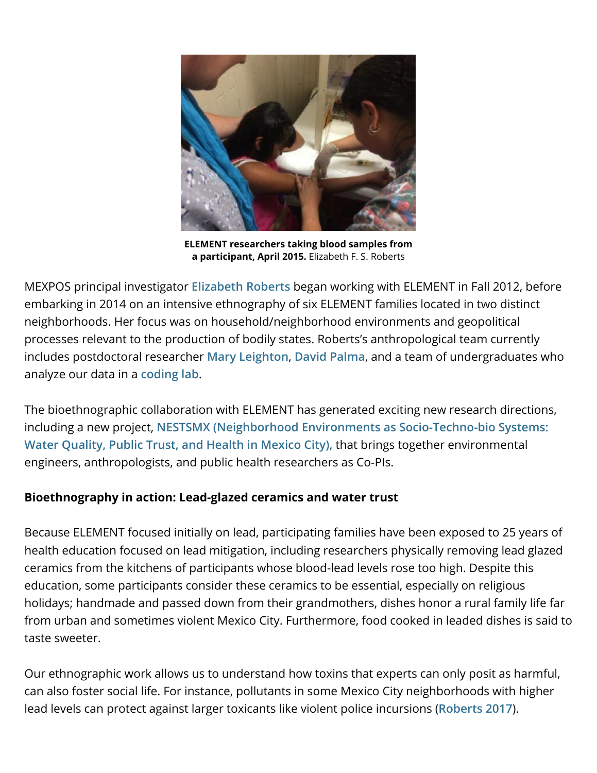

**ELEMENT researchers taking blood samples from a participant, April 2015.** Elizabeth F. S. Roberts

MEXPOS principal investigator **[Elizabeth Roberts](https://sites.lsa.umich.edu/elizabethroberts/)** began working with ELEMENT in Fall 2012, before embarking in 2014 on an intensive ethnography of six ELEMENT families located in two distinct neighborhoods. Her focus was on household/neighborhood environments and geopolitical processes relevant to the production of bodily states. Roberts's anthropological team currently includes postdoctoral researcher **[Mary Leighton](https://sites.lsa.umich.edu/maryleighton/)**, **[David Palma](https://sites.lsa.umich.edu/mexican-exposures/people/)**, and a team of undergraduates who analyze our data in a **[coding lab](http://sites.lsa.umich.edu/mexican-exposures/ethnographic-coding-lab/)**.

The bioethnographic collaboration with ELEMENT has generated exciting new research directions, including a new project, **[NESTSMX \(Neighborhood Environments as Socio-Techno-bio Systems:](https://sites.lsa.umich.edu/mexican-exposures/research/) Water Quality, Public Trust, and Health in Mexico City),** that brings together environmental engineers, anthropologists, and public health researchers as Co-PIs.

#### **Bioethnography in action: Lead-glazed ceramics and water trust**

Because ELEMENT focused initially on lead, participating families have been exposed to 25 years of health education focused on lead mitigation, including researchers physically removing lead glazed ceramics from the kitchens of participants whose blood-lead levels rose too high. Despite this education, some participants consider these ceramics to be essential, especially on religious holidays; handmade and passed down from their grandmothers, dishes honor a rural family life far from urban and sometimes violent Mexico City. Furthermore, food cooked in leaded dishes is said to taste sweeter.

Our ethnographic work allows us to understand how toxins that experts can only posit as harmful, can also foster social life. For instance, pollutants in some Mexico City neighborhoods with higher lead levels can protect against larger toxicants like violent police incursions (**[Roberts 2017](https://culanth.org/articles/931-what-gets-inside-violent-entanglements-and-toxic)**).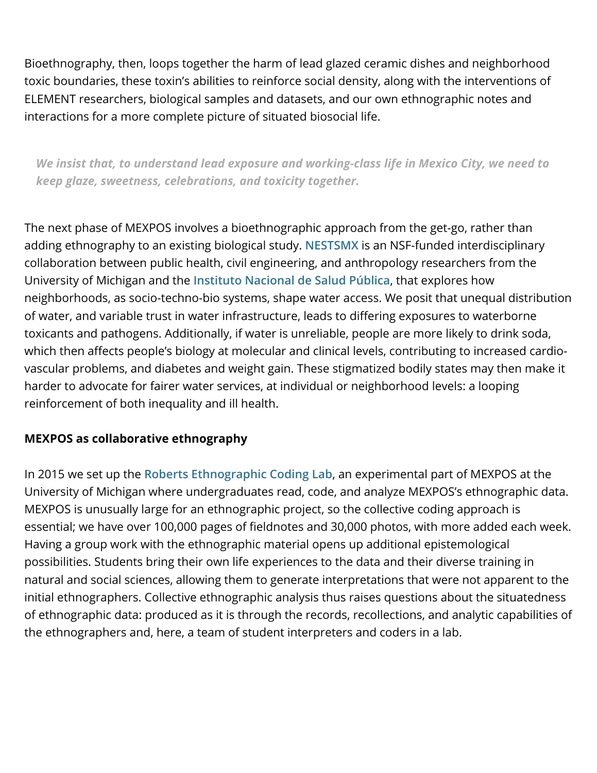Bioethnography, then, loops together the harm of lead glazed ceramic dishes and neighborhood toxic boundaries, these toxin's abilities to reinforce social density, along with the interventions of ELEMENT researchers, biological samples and datasets, and our own ethnographic notes and interactions for a more complete picture of situated biosocial life.

*We insist that, to understand lead exposure and working-class life in Mexico City, we need to keep glaze, sweetness, celebrations, and toxicity together.*

The next phase of MEXPOS involves a bioethnographic approach from the get-go, rather than adding ethnography to an existing biological study. **[NESTSMX](https://sites.lsa.umich.edu/mexican-exposures/research/)** is an NSF-funded interdisciplinary collaboration between public health, civil engineering, and anthropology researchers from the University of Michigan and the **[Instituto Nacional de Salud Pública](https://www.insp.mx/)**, that explores how neighborhoods, as socio-techno-bio systems, shape water access. We posit that unequal distribution of water, and variable trust in water infrastructure, leads to differing exposures to waterborne toxicants and pathogens. Additionally, if water is unreliable, people are more likely to drink soda, which then affects people's biology at molecular and clinical levels, contributing to increased cardiovascular problems, and diabetes and weight gain. These stigmatized bodily states may then make it harder to advocate for fairer water services, at individual or neighborhood levels: a looping reinforcement of both inequality and ill health.

### **MEXPOS as collaborative ethnography**

In 2015 we set up the **[Roberts Ethnographic Coding Lab](https://sites.lsa.umich.edu/mexican-exposures/ethnographic-coding-lab/)**, an experimental part of MEXPOS at the University of Michigan where undergraduates read, code, and analyze MEXPOS's ethnographic data. MEXPOS is unusually large for an ethnographic project, so the collective coding approach is essential; we have over 100,000 pages of fieldnotes and 30,000 photos, with more added each week. Having a group work with the ethnographic material opens up additional epistemological possibilities. Students bring their own life experiences to the data and their diverse training in natural and social sciences, allowing them to generate interpretations that were not apparent to the initial ethnographers. Collective ethnographic analysis thus raises questions about the situatedness of ethnographic data: produced as it is through the records, recollections, and analytic capabilities of the ethnographers and, here, a team of student interpreters and coders in a lab.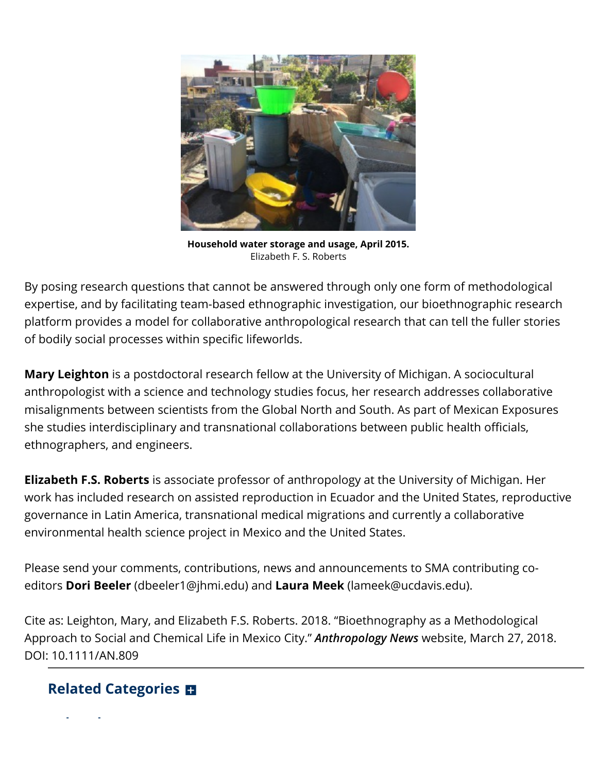

**Household water storage and usage, April 2015.** Elizabeth F. S. Roberts

By posing research questions that cannot be answered through only one form of methodological expertise, and by facilitating team-based ethnographic investigation, our bioethnographic research platform provides a model for collaborative anthropological research that can tell the fuller stories of bodily social processes within specific lifeworlds.

**Mary Leighton** is a postdoctoral research fellow at the University of Michigan. A sociocultural anthropologist with a science and technology studies focus, her research addresses collaborative misalignments between scientists from the Global North and South. As part of Mexican Exposures she studies interdisciplinary and transnational collaborations between public health officials, ethnographers, and engineers.

**Elizabeth F.S. Roberts** is associate professor of anthropology at the University of Michigan. Her work has included research on assisted reproduction in Ecuador and the United States, reproductive governance in Latin America, transnational medical migrations and currently a collaborative environmental health science project in Mexico and the United States.

Please send your comments, contributions, news and announcements to SMA contributing coeditors **Dori Beeler** (dbeeler1@jhmi.edu) and **Laura Meek** (lameek@ucdavis.edu).

Cite as: Leighton, Mary, and Elizabeth F.S. Roberts. 2018. "Bioethnography as a Methodological Approach to Social and Chemical Life in Mexico City." *Anthropology News* website, March 27, 2018. DOI: 10.1111/AN.809

## **Related Categories**

**l d**